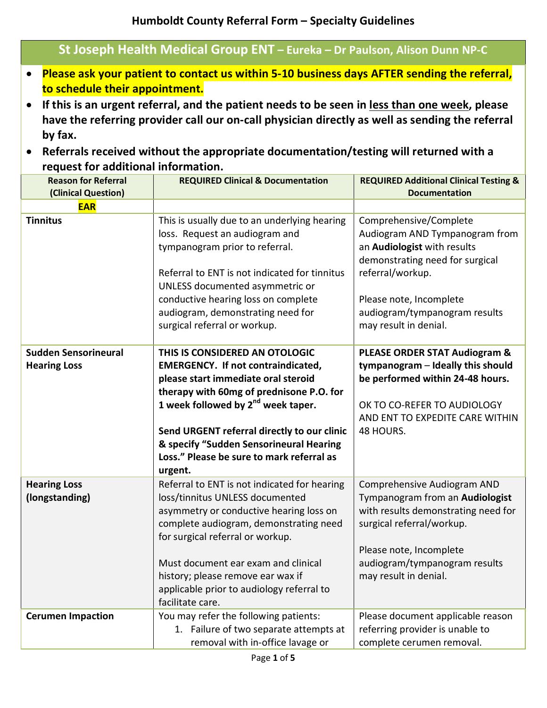| St Joseph Health Medical Group ENT - Eureka - Dr Paulson, Alison Dunn NP-C                                                                                                                                                                                                                                                                                                                                                                                                                             |                                                                                                                                                                                                                                                                                                                                                       |                                                                                                                                                                                                                                     |  |  |
|--------------------------------------------------------------------------------------------------------------------------------------------------------------------------------------------------------------------------------------------------------------------------------------------------------------------------------------------------------------------------------------------------------------------------------------------------------------------------------------------------------|-------------------------------------------------------------------------------------------------------------------------------------------------------------------------------------------------------------------------------------------------------------------------------------------------------------------------------------------------------|-------------------------------------------------------------------------------------------------------------------------------------------------------------------------------------------------------------------------------------|--|--|
| Please ask your patient to contact us within 5-10 business days AFTER sending the referral,<br>to schedule their appointment.<br>If this is an urgent referral, and the patient needs to be seen in less than one week, please<br>$\bullet$<br>have the referring provider call our on-call physician directly as well as sending the referral<br>by fax.<br>Referrals received without the appropriate documentation/testing will returned with a<br>$\bullet$<br>request for additional information. |                                                                                                                                                                                                                                                                                                                                                       |                                                                                                                                                                                                                                     |  |  |
| <b>Reason for Referral</b><br>(Clinical Question)                                                                                                                                                                                                                                                                                                                                                                                                                                                      | <b>REQUIRED Clinical &amp; Documentation</b>                                                                                                                                                                                                                                                                                                          | <b>REQUIRED Additional Clinical Testing &amp;</b><br><b>Documentation</b>                                                                                                                                                           |  |  |
| <b>EAR</b>                                                                                                                                                                                                                                                                                                                                                                                                                                                                                             |                                                                                                                                                                                                                                                                                                                                                       |                                                                                                                                                                                                                                     |  |  |
| <b>Tinnitus</b>                                                                                                                                                                                                                                                                                                                                                                                                                                                                                        | This is usually due to an underlying hearing<br>loss. Request an audiogram and<br>tympanogram prior to referral.<br>Referral to ENT is not indicated for tinnitus<br>UNLESS documented asymmetric or<br>conductive hearing loss on complete<br>audiogram, demonstrating need for<br>surgical referral or workup.                                      | Comprehensive/Complete<br>Audiogram AND Tympanogram from<br>an Audiologist with results<br>demonstrating need for surgical<br>referral/workup.<br>Please note, Incomplete<br>audiogram/tympanogram results<br>may result in denial. |  |  |
| <b>Sudden Sensorineural</b>                                                                                                                                                                                                                                                                                                                                                                                                                                                                            | THIS IS CONSIDERED AN OTOLOGIC                                                                                                                                                                                                                                                                                                                        | <b>PLEASE ORDER STAT Audiogram &amp;</b>                                                                                                                                                                                            |  |  |
| <b>Hearing Loss</b>                                                                                                                                                                                                                                                                                                                                                                                                                                                                                    | <b>EMERGENCY. If not contraindicated,</b><br>please start immediate oral steroid<br>therapy with 60mg of prednisone P.O. for<br>1 week followed by $2^{nd}$ week taper.<br>Send URGENT referral directly to our clinic<br>& specify "Sudden Sensorineural Hearing<br>Loss." Please be sure to mark referral as<br>urgent.                             | tympanogram - Ideally this should<br>be performed within 24-48 hours.<br>OK TO CO-REFER TO AUDIOLOGY<br>AND ENT TO EXPEDITE CARE WITHIN<br>48 HOURS.                                                                                |  |  |
| <b>Hearing Loss</b><br>(longstanding)                                                                                                                                                                                                                                                                                                                                                                                                                                                                  | Referral to ENT is not indicated for hearing<br>loss/tinnitus UNLESS documented<br>asymmetry or conductive hearing loss on<br>complete audiogram, demonstrating need<br>for surgical referral or workup.<br>Must document ear exam and clinical<br>history; please remove ear wax if<br>applicable prior to audiology referral to<br>facilitate care. | Comprehensive Audiogram AND<br>Tympanogram from an Audiologist<br>with results demonstrating need for<br>surgical referral/workup.<br>Please note, Incomplete<br>audiogram/tympanogram results<br>may result in denial.             |  |  |
| <b>Cerumen Impaction</b>                                                                                                                                                                                                                                                                                                                                                                                                                                                                               | You may refer the following patients:<br>1. Failure of two separate attempts at<br>removal with in-office lavage or                                                                                                                                                                                                                                   | Please document applicable reason<br>referring provider is unable to<br>complete cerumen removal.                                                                                                                                   |  |  |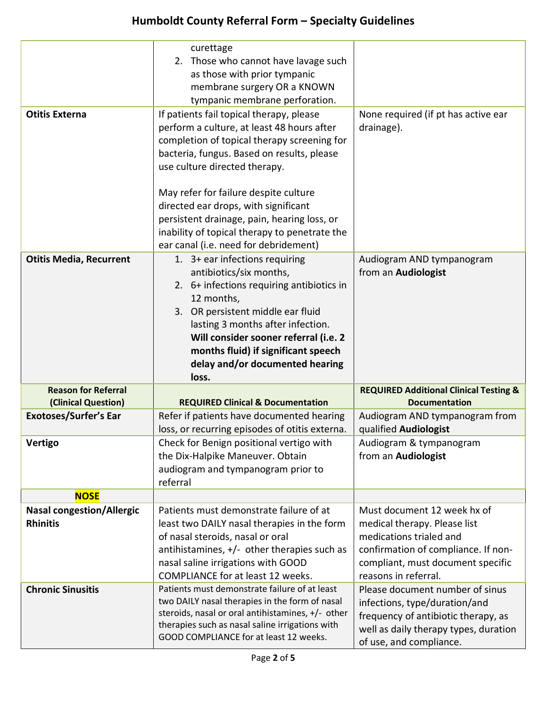## **Humboldt County Referral Form – Specialty Guidelines**

|                                                     | curettage<br>2. Those who cannot have lavage such<br>as those with prior tympanic<br>membrane surgery OR a KNOWN<br>tympanic membrane perforation.                                                                                                                                                                                                                                                                                             |                                                                                                                                                                                            |
|-----------------------------------------------------|------------------------------------------------------------------------------------------------------------------------------------------------------------------------------------------------------------------------------------------------------------------------------------------------------------------------------------------------------------------------------------------------------------------------------------------------|--------------------------------------------------------------------------------------------------------------------------------------------------------------------------------------------|
| <b>Otitis Externa</b>                               | If patients fail topical therapy, please<br>perform a culture, at least 48 hours after<br>completion of topical therapy screening for<br>bacteria, fungus. Based on results, please<br>use culture directed therapy.<br>May refer for failure despite culture<br>directed ear drops, with significant<br>persistent drainage, pain, hearing loss, or<br>inability of topical therapy to penetrate the<br>ear canal (i.e. need for debridement) | None required (if pt has active ear<br>drainage).                                                                                                                                          |
| <b>Otitis Media, Recurrent</b>                      | 1. 3+ ear infections requiring<br>antibiotics/six months,<br>2. 6+ infections requiring antibiotics in<br>12 months,<br>3. OR persistent middle ear fluid<br>lasting 3 months after infection.<br>Will consider sooner referral (i.e. 2<br>months fluid) if significant speech<br>delay and/or documented hearing<br>loss.                                                                                                                     | Audiogram AND tympanogram<br>from an Audiologist                                                                                                                                           |
| <b>Reason for Referral</b>                          |                                                                                                                                                                                                                                                                                                                                                                                                                                                | <b>REQUIRED Additional Clinical Testing &amp;</b>                                                                                                                                          |
| (Clinical Question)                                 | <b>REQUIRED Clinical &amp; Documentation</b>                                                                                                                                                                                                                                                                                                                                                                                                   | <b>Documentation</b>                                                                                                                                                                       |
| <b>Exotoses/Surfer's Ear</b>                        | Refer if patients have documented hearing<br>loss, or recurring episodes of otitis externa.                                                                                                                                                                                                                                                                                                                                                    | Audiogram AND tympanogram from<br>qualified Audiologist                                                                                                                                    |
| <b>Vertigo</b>                                      | Check for Benign positional vertigo with<br>the Dix-Halpike Maneuver. Obtain<br>audiogram and tympanogram prior to<br>referral                                                                                                                                                                                                                                                                                                                 | Audiogram & tympanogram<br>from an Audiologist                                                                                                                                             |
| <b>NOSE</b>                                         |                                                                                                                                                                                                                                                                                                                                                                                                                                                |                                                                                                                                                                                            |
| <b>Nasal congestion/Allergic</b><br><b>Rhinitis</b> | Patients must demonstrate failure of at<br>least two DAILY nasal therapies in the form<br>of nasal steroids, nasal or oral<br>antihistamines, $+/-$ other therapies such as<br>nasal saline irrigations with GOOD<br><b>COMPLIANCE for at least 12 weeks.</b>                                                                                                                                                                                  | Must document 12 week hx of<br>medical therapy. Please list<br>medications trialed and<br>confirmation of compliance. If non-<br>compliant, must document specific<br>reasons in referral. |
| <b>Chronic Sinusitis</b>                            | Patients must demonstrate failure of at least<br>two DAILY nasal therapies in the form of nasal<br>steroids, nasal or oral antihistamines, +/- other<br>therapies such as nasal saline irrigations with<br>GOOD COMPLIANCE for at least 12 weeks.                                                                                                                                                                                              | Please document number of sinus<br>infections, type/duration/and<br>frequency of antibiotic therapy, as<br>well as daily therapy types, duration<br>of use, and compliance.                |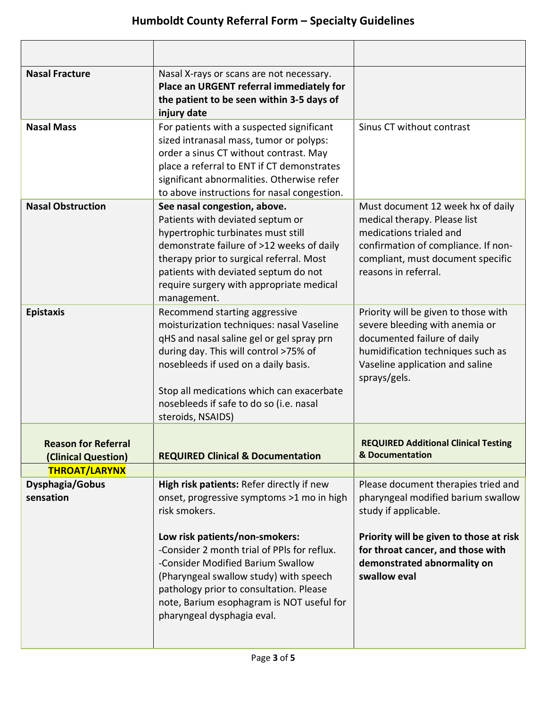| <b>Nasal Fracture</b>                             | Nasal X-rays or scans are not necessary.<br>Place an URGENT referral immediately for<br>the patient to be seen within 3-5 days of<br>injury date                                                                                                                                                                      |                                                                                                                                                                                                  |
|---------------------------------------------------|-----------------------------------------------------------------------------------------------------------------------------------------------------------------------------------------------------------------------------------------------------------------------------------------------------------------------|--------------------------------------------------------------------------------------------------------------------------------------------------------------------------------------------------|
| <b>Nasal Mass</b>                                 | For patients with a suspected significant<br>sized intranasal mass, tumor or polyps:<br>order a sinus CT without contrast. May<br>place a referral to ENT if CT demonstrates<br>significant abnormalities. Otherwise refer<br>to above instructions for nasal congestion.                                             | Sinus CT without contrast                                                                                                                                                                        |
| <b>Nasal Obstruction</b>                          | See nasal congestion, above.<br>Patients with deviated septum or<br>hypertrophic turbinates must still<br>demonstrate failure of >12 weeks of daily<br>therapy prior to surgical referral. Most<br>patients with deviated septum do not<br>require surgery with appropriate medical<br>management.                    | Must document 12 week hx of daily<br>medical therapy. Please list<br>medications trialed and<br>confirmation of compliance. If non-<br>compliant, must document specific<br>reasons in referral. |
| <b>Epistaxis</b>                                  | Recommend starting aggressive<br>moisturization techniques: nasal Vaseline<br>qHS and nasal saline gel or gel spray prn<br>during day. This will control >75% of<br>nosebleeds if used on a daily basis.<br>Stop all medications which can exacerbate<br>nosebleeds if safe to do so (i.e. nasal<br>steroids, NSAIDS) | Priority will be given to those with<br>severe bleeding with anemia or<br>documented failure of daily<br>humidification techniques such as<br>Vaseline application and saline<br>sprays/gels.    |
| <b>Reason for Referral</b><br>(Clinical Question) | <b>REQUIRED Clinical &amp; Documentation</b>                                                                                                                                                                                                                                                                          | <b>REQUIRED Additional Clinical Testing</b><br>& Documentation                                                                                                                                   |
| <b>THROAT/LARYNX</b>                              |                                                                                                                                                                                                                                                                                                                       |                                                                                                                                                                                                  |
| Dysphagia/Gobus<br>sensation                      | High risk patients: Refer directly if new<br>onset, progressive symptoms >1 mo in high<br>risk smokers.                                                                                                                                                                                                               | Please document therapies tried and<br>pharyngeal modified barium swallow<br>study if applicable.                                                                                                |
|                                                   | Low risk patients/non-smokers:<br>-Consider 2 month trial of PPIs for reflux.<br>-Consider Modified Barium Swallow<br>(Pharyngeal swallow study) with speech<br>pathology prior to consultation. Please<br>note, Barium esophagram is NOT useful for<br>pharyngeal dysphagia eval.                                    | Priority will be given to those at risk<br>for throat cancer, and those with<br>demonstrated abnormality on<br>swallow eval                                                                      |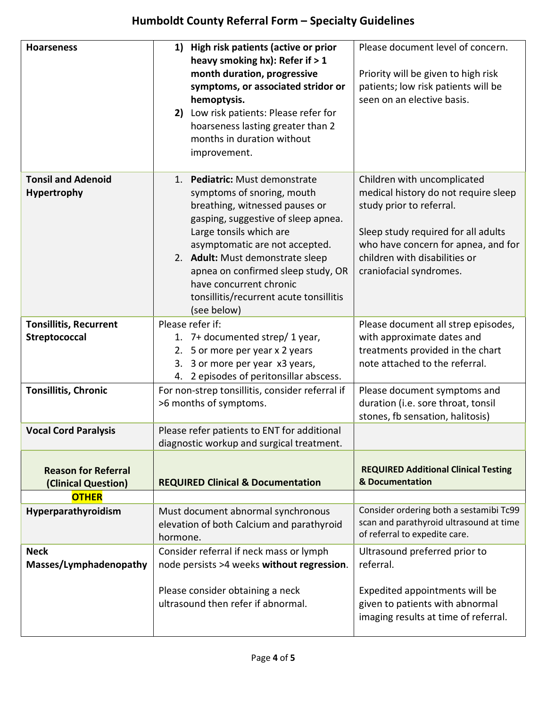## **Humboldt County Referral Form – Specialty Guidelines**

| <b>Hoarseness</b>                                 | 1) High risk patients (active or prior<br>heavy smoking hx): Refer if > 1<br>month duration, progressive<br>symptoms, or associated stridor or<br>hemoptysis.<br>2) Low risk patients: Please refer for<br>hoarseness lasting greater than 2<br>months in duration without<br>improvement.                                                                        | Please document level of concern.<br>Priority will be given to high risk<br>patients; low risk patients will be<br>seen on an elective basis.                                                                                             |
|---------------------------------------------------|-------------------------------------------------------------------------------------------------------------------------------------------------------------------------------------------------------------------------------------------------------------------------------------------------------------------------------------------------------------------|-------------------------------------------------------------------------------------------------------------------------------------------------------------------------------------------------------------------------------------------|
| <b>Tonsil and Adenoid</b><br>Hypertrophy          | 1. Pediatric: Must demonstrate<br>symptoms of snoring, mouth<br>breathing, witnessed pauses or<br>gasping, suggestive of sleep apnea.<br>Large tonsils which are<br>asymptomatic are not accepted.<br>2. Adult: Must demonstrate sleep<br>apnea on confirmed sleep study, OR<br>have concurrent chronic<br>tonsillitis/recurrent acute tonsillitis<br>(see below) | Children with uncomplicated<br>medical history do not require sleep<br>study prior to referral.<br>Sleep study required for all adults<br>who have concern for apnea, and for<br>children with disabilities or<br>craniofacial syndromes. |
| <b>Tonsillitis, Recurrent</b><br>Streptococcal    | Please refer if:<br>1. 7+ documented strep/ 1 year,<br>2. 5 or more per year x 2 years<br>3. 3 or more per year x3 years,<br>4. 2 episodes of peritonsillar abscess.                                                                                                                                                                                              | Please document all strep episodes,<br>with approximate dates and<br>treatments provided in the chart<br>note attached to the referral.                                                                                                   |
| <b>Tonsillitis, Chronic</b>                       | For non-strep tonsillitis, consider referral if<br>>6 months of symptoms.                                                                                                                                                                                                                                                                                         | Please document symptoms and<br>duration (i.e. sore throat, tonsil<br>stones, fb sensation, halitosis)                                                                                                                                    |
| <b>Vocal Cord Paralysis</b>                       | Please refer patients to ENT for additional<br>diagnostic workup and surgical treatment.                                                                                                                                                                                                                                                                          |                                                                                                                                                                                                                                           |
| <b>Reason for Referral</b><br>(Clinical Question) | <b>REQUIRED Clinical &amp; Documentation</b>                                                                                                                                                                                                                                                                                                                      | <b>REQUIRED Additional Clinical Testing</b><br>& Documentation                                                                                                                                                                            |
| <b>OTHER</b>                                      |                                                                                                                                                                                                                                                                                                                                                                   |                                                                                                                                                                                                                                           |
| Hyperparathyroidism                               | Must document abnormal synchronous<br>elevation of both Calcium and parathyroid<br>hormone.                                                                                                                                                                                                                                                                       | Consider ordering both a sestamibi Tc99<br>scan and parathyroid ultrasound at time<br>of referral to expedite care.                                                                                                                       |
| <b>Neck</b><br>Masses/Lymphadenopathy             | Consider referral if neck mass or lymph<br>node persists >4 weeks without regression.                                                                                                                                                                                                                                                                             | Ultrasound preferred prior to<br>referral.                                                                                                                                                                                                |
|                                                   | Please consider obtaining a neck<br>ultrasound then refer if abnormal.                                                                                                                                                                                                                                                                                            | Expedited appointments will be<br>given to patients with abnormal<br>imaging results at time of referral.                                                                                                                                 |